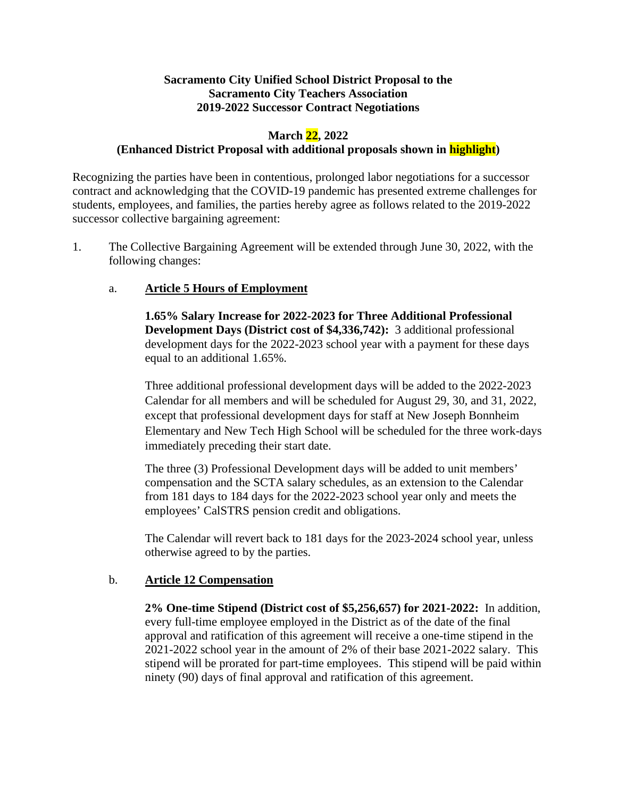# **Sacramento City Unified School District Proposal to the Sacramento City Teachers Association 2019-2022 Successor Contract Negotiations**

# **March 22, 2022**

## **(Enhanced District Proposal with additional proposals shown in highlight)**

Recognizing the parties have been in contentious, prolonged labor negotiations for a successor contract and acknowledging that the COVID-19 pandemic has presented extreme challenges for students, employees, and families, the parties hereby agree as follows related to the 2019-2022 successor collective bargaining agreement:

1. The Collective Bargaining Agreement will be extended through June 30, 2022, with the following changes:

## a. **Article 5 Hours of Employment**

**1.65% Salary Increase for 2022-2023 for Three Additional Professional Development Days (District cost of \$4,336,742):** 3 additional professional development days for the 2022-2023 school year with a payment for these days equal to an additional 1.65%.

Three additional professional development days will be added to the 2022-2023 Calendar for all members and will be scheduled for August 29, 30, and 31, 2022, except that professional development days for staff at New Joseph Bonnheim Elementary and New Tech High School will be scheduled for the three work-days immediately preceding their start date.

The three (3) Professional Development days will be added to unit members' compensation and the SCTA salary schedules, as an extension to the Calendar from 181 days to 184 days for the 2022-2023 school year only and meets the employees' CalSTRS pension credit and obligations.

The Calendar will revert back to 181 days for the 2023-2024 school year, unless otherwise agreed to by the parties.

### b. **Article 12 Compensation**

**2% One-time Stipend (District cost of \$5,256,657) for 2021-2022:** In addition, every full-time employee employed in the District as of the date of the final approval and ratification of this agreement will receive a one-time stipend in the 2021-2022 school year in the amount of 2% of their base 2021-2022 salary. This stipend will be prorated for part-time employees. This stipend will be paid within ninety (90) days of final approval and ratification of this agreement.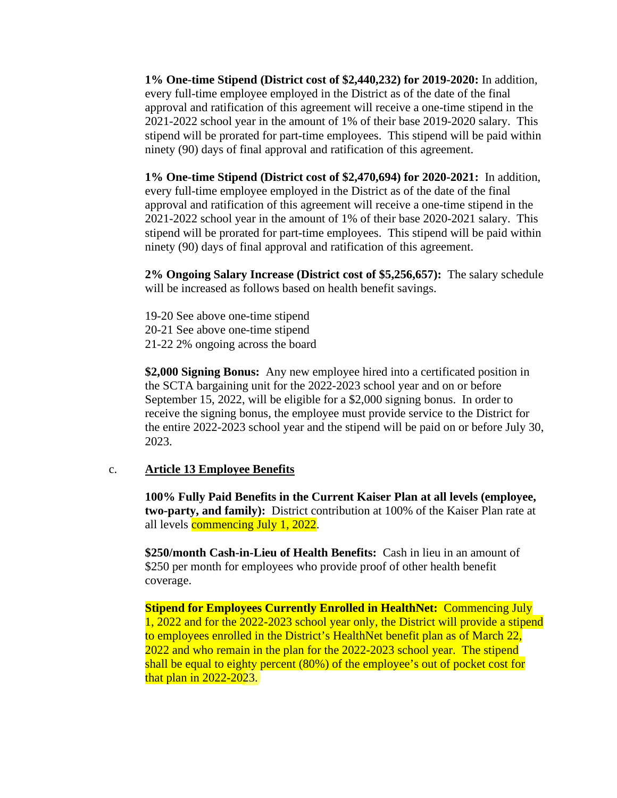**1% One-time Stipend (District cost of \$2,440,232) for 2019-2020:** In addition, every full-time employee employed in the District as of the date of the final approval and ratification of this agreement will receive a one-time stipend in the 2021-2022 school year in the amount of 1% of their base 2019-2020 salary. This stipend will be prorated for part-time employees. This stipend will be paid within ninety (90) days of final approval and ratification of this agreement.

**1% One-time Stipend (District cost of \$2,470,694) for 2020-2021:** In addition, every full-time employee employed in the District as of the date of the final approval and ratification of this agreement will receive a one-time stipend in the 2021-2022 school year in the amount of 1% of their base 2020-2021 salary. This stipend will be prorated for part-time employees. This stipend will be paid within ninety (90) days of final approval and ratification of this agreement.

**2% Ongoing Salary Increase (District cost of \$5,256,657):** The salary schedule will be increased as follows based on health benefit savings.

19-20 See above one-time stipend 20-21 See above one-time stipend 21-22 2% ongoing across the board

**\$2,000 Signing Bonus:** Any new employee hired into a certificated position in the SCTA bargaining unit for the 2022-2023 school year and on or before September 15, 2022, will be eligible for a \$2,000 signing bonus. In order to receive the signing bonus, the employee must provide service to the District for the entire 2022-2023 school year and the stipend will be paid on or before July 30, 2023.

# c. **Article 13 Employee Benefits**

**100% Fully Paid Benefits in the Current Kaiser Plan at all levels (employee, two-party, and family):** District contribution at 100% of the Kaiser Plan rate at all levels **commencing July 1, 2022**.

**\$250/month Cash-in-Lieu of Health Benefits:** Cash in lieu in an amount of \$250 per month for employees who provide proof of other health benefit coverage.

**Stipend for Employees Currently Enrolled in HealthNet:** Commencing July 1, 2022 and for the 2022-2023 school year only, the District will provide a stipend to employees enrolled in the District's HealthNet benefit plan as of March 22, 2022 and who remain in the plan for the 2022-2023 school year. The stipend shall be equal to eighty percent (80%) of the employee's out of pocket cost for that plan in 2022-2023.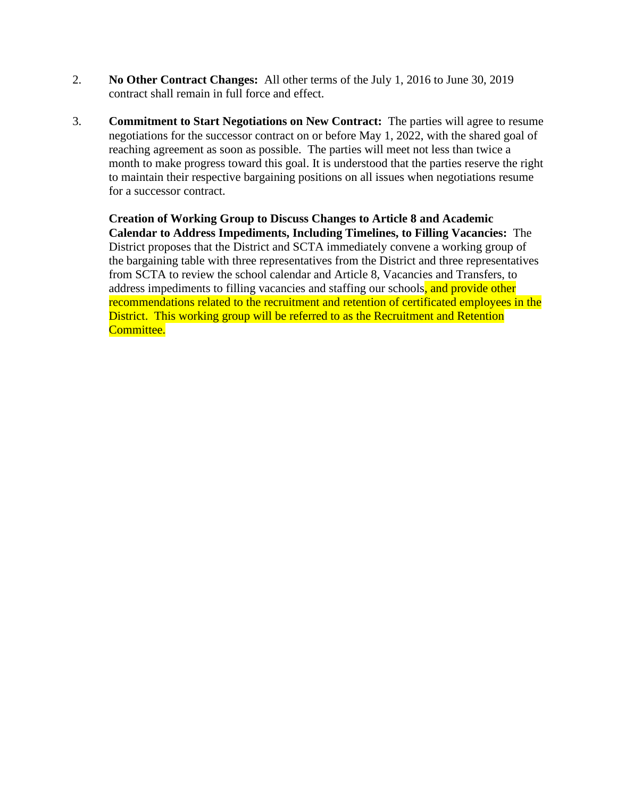- 2. **No Other Contract Changes:** All other terms of the July 1, 2016 to June 30, 2019 contract shall remain in full force and effect.
- 3. **Commitment to Start Negotiations on New Contract:** The parties will agree to resume negotiations for the successor contract on or before May 1, 2022, with the shared goal of reaching agreement as soon as possible. The parties will meet not less than twice a month to make progress toward this goal. It is understood that the parties reserve the right to maintain their respective bargaining positions on all issues when negotiations resume for a successor contract.

**Creation of Working Group to Discuss Changes to Article 8 and Academic Calendar to Address Impediments, Including Timelines, to Filling Vacancies:** The District proposes that the District and SCTA immediately convene a working group of the bargaining table with three representatives from the District and three representatives from SCTA to review the school calendar and Article 8, Vacancies and Transfers, to address impediments to filling vacancies and staffing our schools, and provide other recommendations related to the recruitment and retention of certificated employees in the District. This working group will be referred to as the Recruitment and Retention Committee.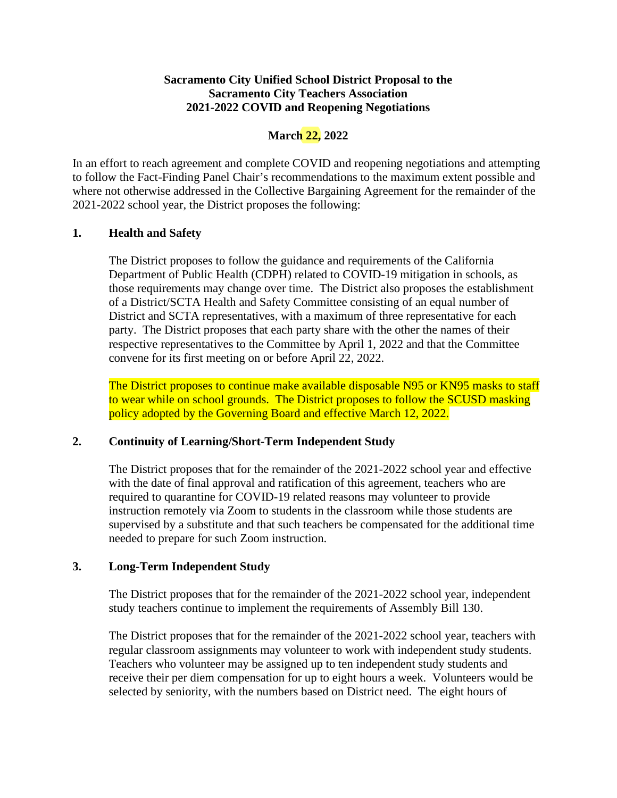# **Sacramento City Unified School District Proposal to the Sacramento City Teachers Association 2021-2022 COVID and Reopening Negotiations**

# **March 22, 2022**

In an effort to reach agreement and complete COVID and reopening negotiations and attempting to follow the Fact-Finding Panel Chair's recommendations to the maximum extent possible and where not otherwise addressed in the Collective Bargaining Agreement for the remainder of the 2021-2022 school year, the District proposes the following:

# **1. Health and Safety**

The District proposes to follow the guidance and requirements of the California Department of Public Health (CDPH) related to COVID-19 mitigation in schools, as those requirements may change over time. The District also proposes the establishment of a District/SCTA Health and Safety Committee consisting of an equal number of District and SCTA representatives, with a maximum of three representative for each party. The District proposes that each party share with the other the names of their respective representatives to the Committee by April 1, 2022 and that the Committee convene for its first meeting on or before April 22, 2022.

The District proposes to continue make available disposable N95 or KN95 masks to staff to wear while on school grounds. The District proposes to follow the SCUSD masking policy adopted by the Governing Board and effective March 12, 2022.

### **2. Continuity of Learning/Short-Term Independent Study**

The District proposes that for the remainder of the 2021-2022 school year and effective with the date of final approval and ratification of this agreement, teachers who are required to quarantine for COVID-19 related reasons may volunteer to provide instruction remotely via Zoom to students in the classroom while those students are supervised by a substitute and that such teachers be compensated for the additional time needed to prepare for such Zoom instruction.

### **3. Long-Term Independent Study**

The District proposes that for the remainder of the 2021-2022 school year, independent study teachers continue to implement the requirements of Assembly Bill 130.

The District proposes that for the remainder of the 2021-2022 school year, teachers with regular classroom assignments may volunteer to work with independent study students. Teachers who volunteer may be assigned up to ten independent study students and receive their per diem compensation for up to eight hours a week. Volunteers would be selected by seniority, with the numbers based on District need. The eight hours of